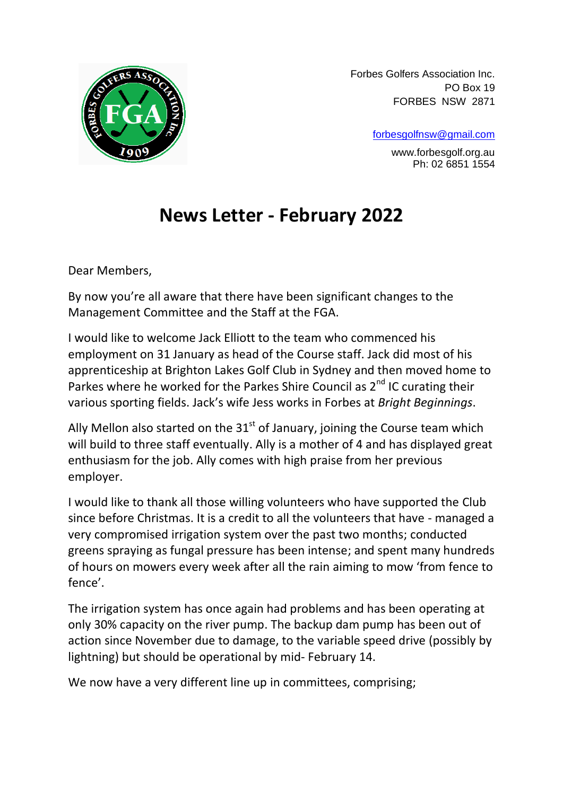

Forbes Golfers Association Inc. PO Box 19 FORBES NSW 2871

[forbesgolfnsw@gmail.com](mailto:forbesgolfnsw@gmail.com)

www.forbesgolf.org.au Ph: 02 6851 1554

## **News Letter - February 2022**

Dear Members,

By now you're all aware that there have been significant changes to the Management Committee and the Staff at the FGA.

I would like to welcome Jack Elliott to the team who commenced his employment on 31 January as head of the Course staff. Jack did most of his apprenticeship at Brighton Lakes Golf Club in Sydney and then moved home to Parkes where he worked for the Parkes Shire Council as  $2^{nd}$  IC curating their various sporting fields. Jack's wife Jess works in Forbes at *Bright Beginnings*.

Ally Mellon also started on the  $31<sup>st</sup>$  of January, joining the Course team which will build to three staff eventually. Ally is a mother of 4 and has displayed great enthusiasm for the job. Ally comes with high praise from her previous employer.

I would like to thank all those willing volunteers who have supported the Club since before Christmas. It is a credit to all the volunteers that have - managed a very compromised irrigation system over the past two months; conducted greens spraying as fungal pressure has been intense; and spent many hundreds of hours on mowers every week after all the rain aiming to mow 'from fence to fence'.

The irrigation system has once again had problems and has been operating at only 30% capacity on the river pump. The backup dam pump has been out of action since November due to damage, to the variable speed drive (possibly by lightning) but should be operational by mid- February 14.

We now have a very different line up in committees, comprising;